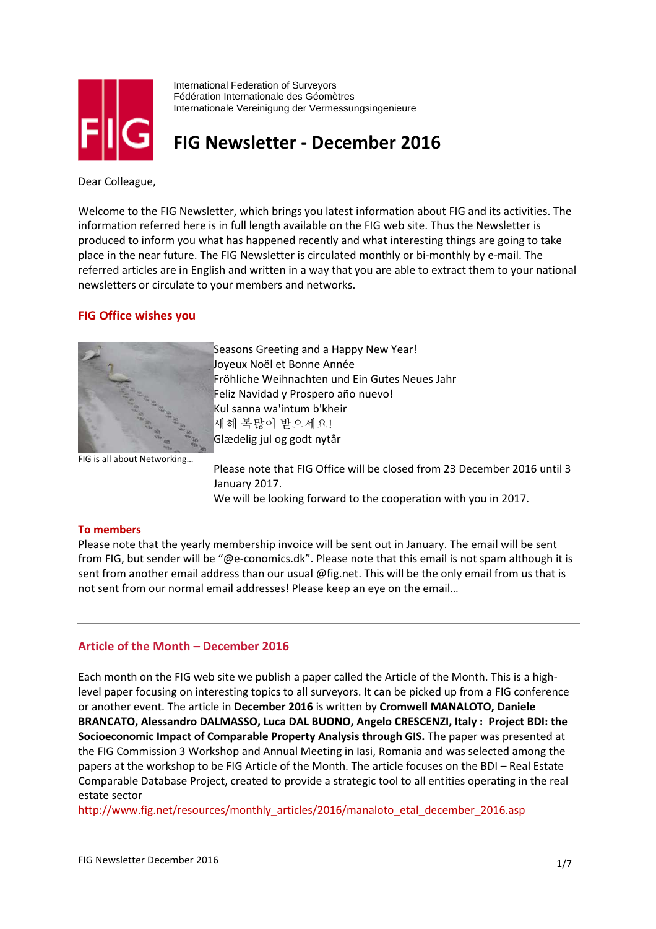

International Federation of Surveyors Fédération Internationale des Géomètres Internationale Vereinigung der Vermessungsingenieure

# FIG Newsletter - December 2016

Dear Colleague,

Welcome to the FIG Newsletter, which brings you latest information about FIG and its activities. The information referred here is in full length available on the FIG web site. Thus the Newsletter is produced to inform you what has happened recently and what interesting things are going to take place in the near future. The FIG Newsletter is circulated monthly or bi-monthly by e-mail. The referred articles are in English and written in a way that you are able to extract them to your national newsletters or circulate to your members and networks.

# FIG Office wishes you



Seasons Greeting and a Happy New Year! Joyeux Noël et Bonne Année Fröhliche Weihnachten und Ein Gutes Neues Jahr Feliz Navidad y Prospero año nuevo! Kul sanna wa'intum b'kheir 새해 복많이 받으세요! Glædelig jul og godt nytår

FIG is all about Networking…

Please note that FIG Office will be closed from 23 December 2016 until 3 January 2017. We will be looking forward to the cooperation with you in 2017.

# To members

Please note that the yearly membership invoice will be sent out in January. The email will be sent from FIG, but sender will be "@e-conomics.dk". Please note that this email is not spam although it is sent from another email address than our usual @fig.net. This will be the only email from us that is not sent from our normal email addresses! Please keep an eye on the email…

# Article of the Month – December 2016

Each month on the FIG web site we publish a paper called the Article of the Month. This is a highlevel paper focusing on interesting topics to all surveyors. It can be picked up from a FIG conference or another event. The article in December 2016 is written by Cromwell MANALOTO, Daniele BRANCATO, Alessandro DALMASSO, Luca DAL BUONO, Angelo CRESCENZI, Italy : Project BDI: the Socioeconomic Impact of Comparable Property Analysis through GIS. The paper was presented at the FIG Commission 3 Workshop and Annual Meeting in Iasi, Romania and was selected among the papers at the workshop to be FIG Article of the Month. The article focuses on the BDI – Real Estate Comparable Database Project, created to provide a strategic tool to all entities operating in the real estate sector

http://www.fig.net/resources/monthly\_articles/2016/manaloto\_etal\_december\_2016.asp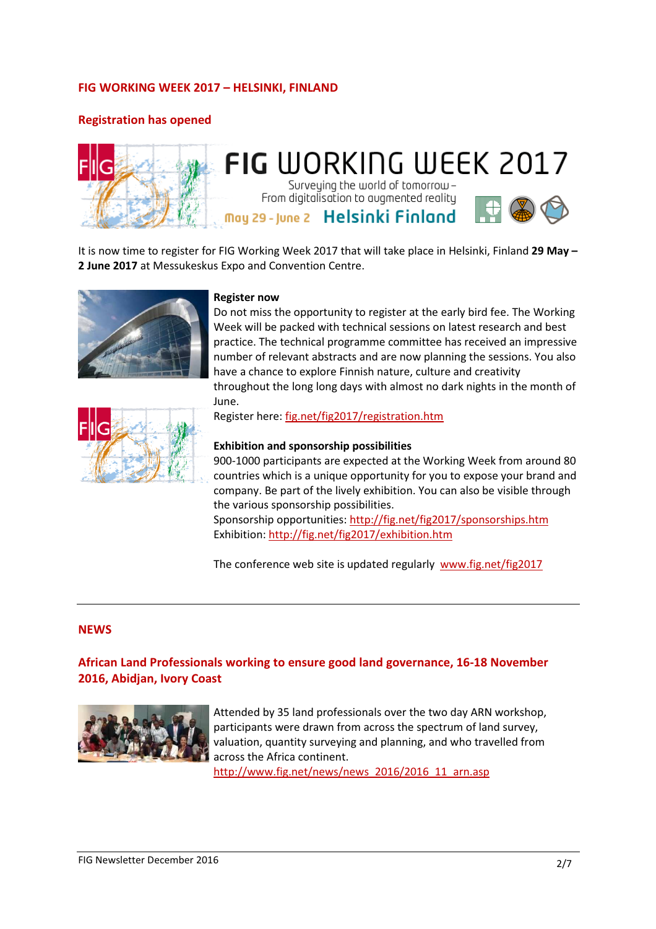# FIG WORKING WEEK 2017 – HELSINKI, FINLAND

# Registration has opened



# **FIG WORKING WEEK 2017** Surveying the world of tomorrow-

From digitalisation to augmented reality

May 29 - June 2 Helsinki Finland



It is now time to register for FIG Working Week 2017 that will take place in Helsinki, Finland 29 May -2 June 2017 at Messukeskus Expo and Convention Centre.



#### Register now

Do not miss the opportunity to register at the early bird fee. The Working Week will be packed with technical sessions on latest research and best practice. The technical programme committee has received an impressive number of relevant abstracts and are now planning the sessions. You also have a chance to explore Finnish nature, culture and creativity throughout the long long days with almost no dark nights in the month of June.



Register here: fig.net/fig2017/registration.htm

#### Exhibition and sponsorship possibilities

900-1000 participants are expected at the Working Week from around 80 countries which is a unique opportunity for you to expose your brand and company. Be part of the lively exhibition. You can also be visible through the various sponsorship possibilities.

Sponsorship opportunities: http://fig.net/fig2017/sponsorships.htm Exhibition: http://fig.net/fig2017/exhibition.htm

The conference web site is updated regularly www.fig.net/fig2017

#### **NEWS**

# African Land Professionals working to ensure good land governance, 16-18 November 2016, Abidjan, Ivory Coast



Attended by 35 land professionals over the two day ARN workshop, participants were drawn from across the spectrum of land survey, valuation, quantity surveying and planning, and who travelled from across the Africa continent.

http://www.fig.net/news/news\_2016/2016\_11\_arn.asp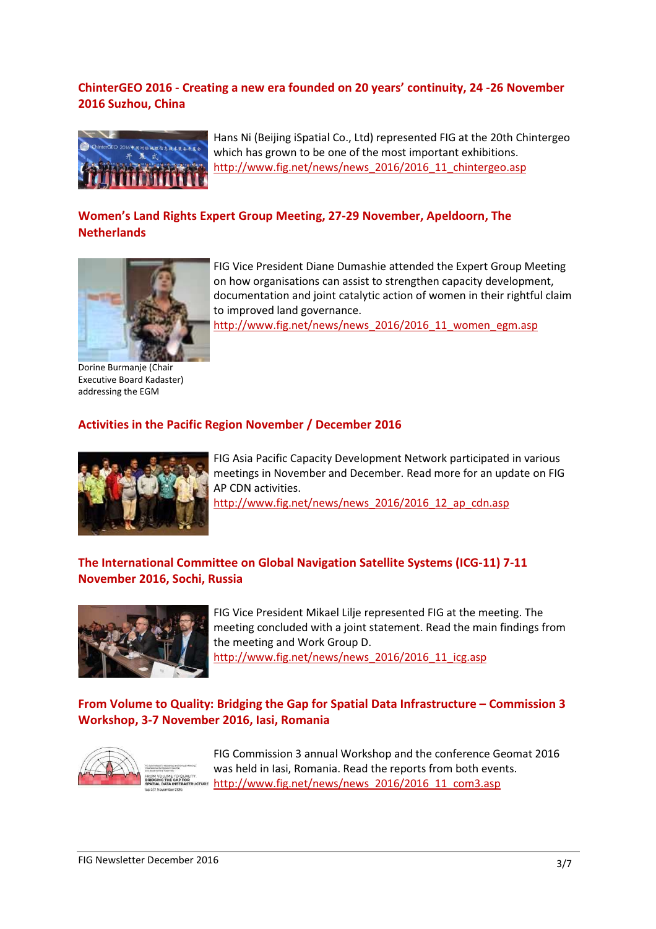# ChinterGEO 2016 - Creating a new era founded on 20 years' continuity, 24 -26 November 2016 Suzhou, China



Hans Ni (Beijing iSpatial Co., Ltd) represented FIG at the 20th Chintergeo which has grown to be one of the most important exhibitions. http://www.fig.net/news/news\_2016/2016\_11\_chintergeo.asp

# Women's Land Rights Expert Group Meeting, 27-29 November, Apeldoorn, The **Netherlands**



FIG Vice President Diane Dumashie attended the Expert Group Meeting on how organisations can assist to strengthen capacity development, documentation and joint catalytic action of women in their rightful claim to improved land governance.

http://www.fig.net/news/news\_2016/2016\_11\_women\_egm.asp

Dorine Burmanje (Chair Executive Board Kadaster) addressing the EGM

# Activities in the Pacific Region November / December 2016



FIG Asia Pacific Capacity Development Network participated in various meetings in November and December. Read more for an update on FIG AP CDN activities.

http://www.fig.net/news/news\_2016/2016\_12\_ap\_cdn.asp

# The International Committee on Global Navigation Satellite Systems (ICG-11) 7-11 November 2016, Sochi, Russia



FIG Vice President Mikael Lilje represented FIG at the meeting. The meeting concluded with a joint statement. Read the main findings from the meeting and Work Group D. http://www.fig.net/news/news\_2016/2016\_11\_icg.asp

From Volume to Quality: Bridging the Gap for Spatial Data Infrastructure – Commission 3 Workshop, 3-7 November 2016, Iasi, Romania



FIG Commission 3 annual Workshop and the conference Geomat 2016 was held in Iasi, Romania. Read the reports from both events. http://www.fig.net/news/news\_2016/2016\_11\_com3.asp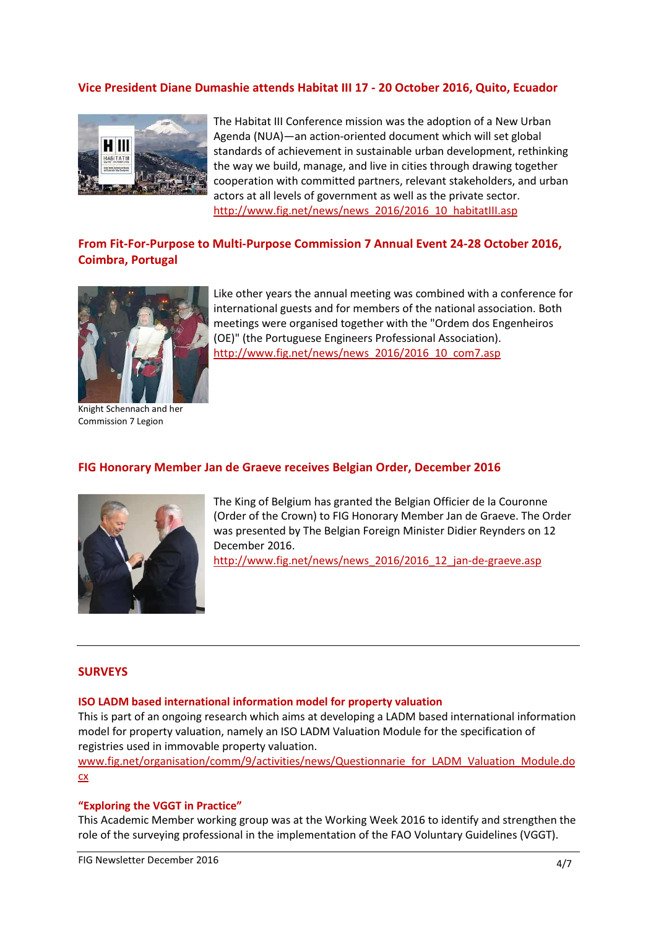# Vice President Diane Dumashie attends Habitat III 17 - 20 October 2016, Quito, Ecuador



The Habitat III Conference mission was the adoption of a New Urban Agenda (NUA)—an action-oriented document which will set global standards of achievement in sustainable urban development, rethinking the way we build, manage, and live in cities through drawing together cooperation with committed partners, relevant stakeholders, and urban actors at all levels of government as well as the private sector. http://www.fig.net/news/news\_2016/2016\_10\_habitatIII.asp

# From Fit-For-Purpose to Multi-Purpose Commission 7 Annual Event 24-28 October 2016, Coimbra, Portugal



Like other years the annual meeting was combined with a conference for international guests and for members of the national association. Both meetings were organised together with the "Ordem dos Engenheiros (OE)" (the Portuguese Engineers Professional Association). http://www.fig.net/news/news\_2016/2016\_10\_com7.asp

Knight Schennach and her Commission 7 Legion

# FIG Honorary Member Jan de Graeve receives Belgian Order, December 2016



The King of Belgium has granted the Belgian Officier de la Couronne (Order of the Crown) to FIG Honorary Member Jan de Graeve. The Order was presented by The Belgian Foreign Minister Didier Reynders on 12 December 2016.

http://www.fig.net/news/news\_2016/2016\_12\_jan-de-graeve.asp

#### **SURVEYS**

#### ISO LADM based international information model for property valuation

This is part of an ongoing research which aims at developing a LADM based international information model for property valuation, namely an ISO LADM Valuation Module for the specification of registries used in immovable property valuation.

www.fig.net/organisation/comm/9/activities/news/Questionnarie\_for\_LADM\_Valuation\_Module.do cx

#### "Exploring the VGGT in Practice"

This Academic Member working group was at the Working Week 2016 to identify and strengthen the role of the surveying professional in the implementation of the FAO Voluntary Guidelines (VGGT).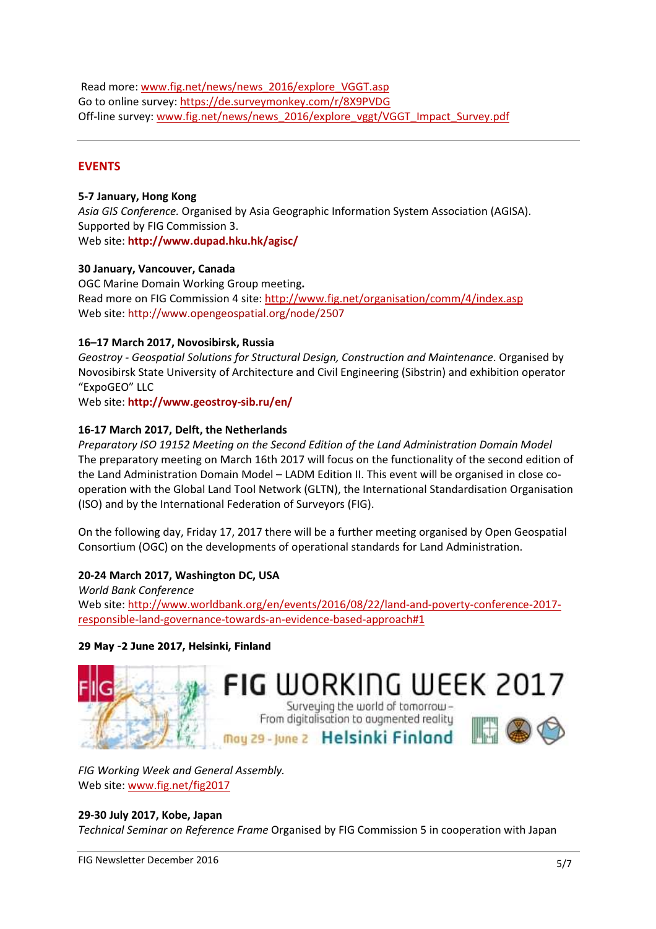Read more: www.fig.net/news/news\_2016/explore\_VGGT.asp Go to online survey: https://de.surveymonkey.com/r/8X9PVDG Off-line survey: www.fig.net/news/news\_2016/explore\_vggt/VGGT\_Impact\_Survey.pdf

# EVENTS

### 5-7 January, Hong Kong

Asia GIS Conference. Organised by Asia Geographic Information System Association (AGISA). Supported by FIG Commission 3. Web site: http://www.dupad.hku.hk/agisc/

### 30 January, Vancouver, Canada

OGC Marine Domain Working Group meeting. Read more on FIG Commission 4 site: http://www.fig.net/organisation/comm/4/index.asp Web site: http://www.opengeospatial.org/node/2507

# 16–17 March 2017, Novosibirsk, Russia

Geostroy - Geospatial Solutions for Structural Design, Construction and Maintenance. Organised by Novosibirsk State University of Architecture and Civil Engineering (Sibstrin) and exhibition operator "ExpoGEO" LLC

Web site: http://www.geostroy-sib.ru/en/

# 16-17 March 2017, Delft, the Netherlands

Preparatory ISO 19152 Meeting on the Second Edition of the Land Administration Domain Model The preparatory meeting on March 16th 2017 will focus on the functionality of the second edition of the Land Administration Domain Model – LADM Edition II. This event will be organised in close cooperation with the Global Land Tool Network (GLTN), the International Standardisation Organisation (ISO) and by the International Federation of Surveyors (FIG).

On the following day, Friday 17, 2017 there will be a further meeting organised by Open Geospatial Consortium (OGC) on the developments of operational standards for Land Administration.

# 20-24 March 2017, Washington DC, USA

World Bank Conference Web site: http://www.worldbank.org/en/events/2016/08/22/land-and-poverty-conference-2017 responsible-land-governance-towards-an-evidence-based-approach#1

# 29 May -2 June 2017, Helsinki, Finland



FIG Working Week and General Assembly. Web site: www.fig.net/fig2017

# 29-30 July 2017, Kobe, Japan

Technical Seminar on Reference Frame Organised by FIG Commission 5 in cooperation with Japan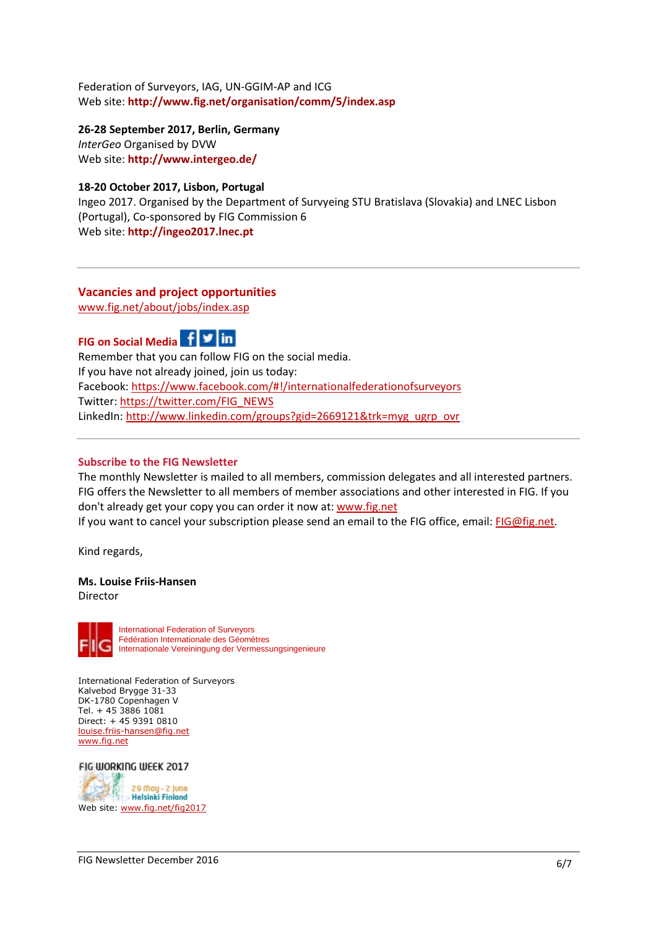Federation of Surveyors, IAG, UN-GGIM-AP and ICG Web site: http://www.fig.net/organisation/comm/5/index.asp

26-28 September 2017, Berlin, Germany

InterGeo Organised by DVW Web site: http://www.intergeo.de/

## 18-20 October 2017, Lisbon, Portugal

Ingeo 2017. Organised by the Department of Survyeing STU Bratislava (Slovakia) and LNEC Lisbon (Portugal), Co-sponsored by FIG Commission 6 Web site: http://ingeo2017.lnec.pt

# Vacancies and project opportunities

www.fig.net/about/jobs/index.asp



Remember that you can follow FIG on the social media. If you have not already joined, join us today: Facebook: https://www.facebook.com/#!/internationalfederationofsurveyors Twitter: https://twitter.com/FIG\_NEWS LinkedIn: http://www.linkedin.com/groups?gid=2669121&trk=myg\_ugrp\_ovr

#### Subscribe to the FIG Newsletter

The monthly Newsletter is mailed to all members, commission delegates and all interested partners. FIG offers the Newsletter to all members of member associations and other interested in FIG. If you don't already get your copy you can order it now at: www.fig.net If you want to cancel your subscription please send an email to the FIG office, email: FIG@fig.net.

Kind regards,

#### Ms. Louise Friis-Hansen Director



International Federation of Surveyors Kalvebod Brygge 31-33 DK-1780 Copenhagen V Tel. + 45 3886 1081 Direct: + 45 9391 0810 louise.friis-hansen@fig.net www.fig.net

FIG WORKING WEEK 2017 29 May - 2 June بالريبا **Helsinki Finland** Web site: www.fig.net/fig2017